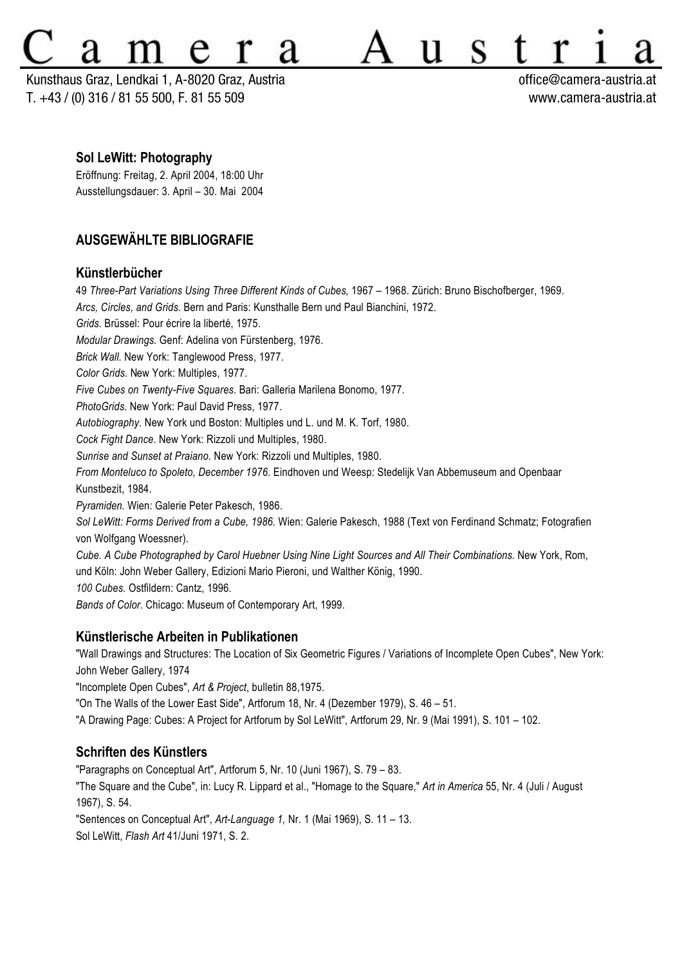# S 11

Kunsthaus Graz, Lendkai 1, A-8020 Graz, Austria office@camera-austria.at T. +43 / (0) 316 / 81 55 500, F. 81 55 509 www.camera-austria.at

#### **Sol LeWitt: Photography**

Eröffnung: Freitag, 2. April 2004, 18:00 Uhr Ausstellungsdauer: 3. April – 30. Mai 2004

# **AUSGEWÄHLTE BIBLIOGRAFIE**

### **Künstlerbücher**

49 *Three-Part Variations Using Three Different Kinds of Cubes,* 1967 – 1968. Zürich: Bruno Bischofberger, 1969. *Arcs, Circles, and Grids.* Bern and Paris: Kunsthalle Bern und Paul Bianchini, 1972. *Grids.* Brüssel: Pour écrire la liberté, 1975. *Modular Drawings.* Genf: Adelina von Fürstenberg, 1976. *Brick Wall.* New York: Tanglewood Press, 1977. *Color Grids*. New York: Multiples, 1977. *Five Cubes on Twenty-Five Squares.* Bari: Galleria Marilena Bonomo, 1977. *PhotoGrids.* New York: Paul David Press, 1977. *Autobiography.* New York und Boston: Multiples und L. und M. K. Torf, 1980. *Cock Fight Dance*. New York: Rizzoli und Multiples, 1980. *Sunrise and Sunset at Praiano.* New York: Rizzoli und Multiples, 1980. *From Monteluco to Spoleto, December 1976*. Eindhoven und Weesp: Stedelijk Van Abbemuseum and Openbaar Kunstbezit, 1984. *Pyramiden.* Wien: Galerie Peter Pakesch, 1986. *Sol LeWitt: Forms Derived from a Cube, 1986.* Wien: Galerie Pakesch, 1988 (Text von Ferdinand Schmatz; Fotografien von Wolfgang Woessner). *Cube. A Cube Photographed by Carol Huebner Using Nine Light Sources and All Their Combinations.* New York, Rom, und Köln: John Weber Gallery, Edizioni Mario Pieroni, und Walther König, 1990. *100 Cubes.* Ostfildern: Cantz, 1996.

*Bands of Color.* Chicago: Museum of Contemporary Art, 1999.

### **Künstlerische Arbeiten in Publikationen**

"Wall Drawings and Structures: The Location of Six Geometric Figures / Variations of Incomplete Open Cubes", New York: John Weber Gallery, 1974

"Incomplete Open Cubes", *Art & Project*, bulletin 88,1975.

"On The Walls of the Lower East Side", Artforum 18, Nr. 4 (Dezember 1979), S. 46 – 51.

"A Drawing Page: Cubes: A Project for Artforum by Sol LeWitt", Artforum 29, Nr. 9 (Mai 1991), S. 101 – 102.

# **Schriften des Künstlers**

"Paragraphs on Conceptual Art", Artforum 5, Nr. 10 (Juni 1967), S. 79 – 83.

"The Square and the Cube", in: Lucy R. Lippard et al., "Homage to the Square," *Art in America* 55, Nr. 4 (Juli / August 1967), S. 54.

"Sentences on Conceptual Art", *Art-Language 1,* Nr. 1 (Mai 1969), S. 11 – 13.

Sol LeWitt, *Flash Art* 41/Juni 1971, S. 2.